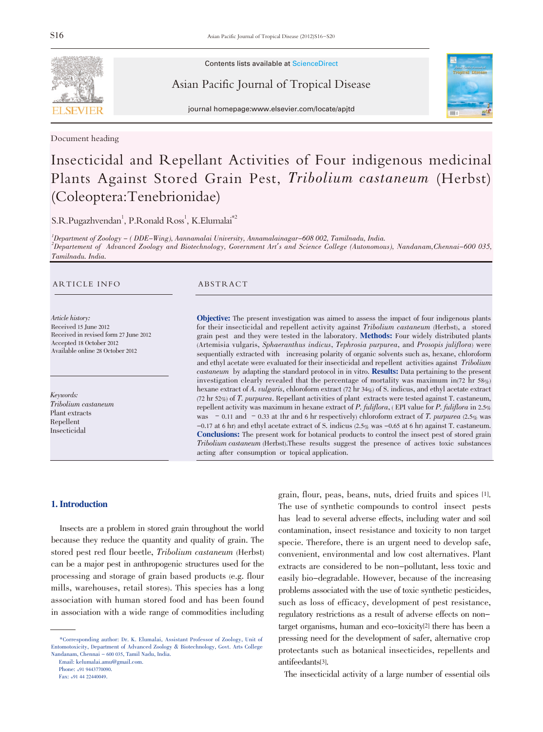

Document heading

Contents lists available at ScienceDirect

Asian Pacific Journal of Tropical Disease



journal homepage:www.elsevier.com/locate/apjtd

# Insecticidal and Repellant Activities of Four indigenous medicinal Plants Against Stored Grain Pest, Tribolium castaneum (Herbst) (Coleoptera:Tenebrionidae)

 $S.R.Pugazhvendan<sup>1</sup>, P.Ronald Ross<sup>1</sup>, K.Elumalai<sup>*2</sup>$ 

1 Department of Zoology - ( DDE-Wing), Aannamalai University, Annamalainagar-608 002, Tamilnadu, India. 2 Departement of Advanced Zoology and Biotechnology, Government Art's and Science College (Autonomous), Nandanam,Chennai-600 035, Tamilnadu. India.

#### ARTICLE INFO ABSTRACT

Article history: Received 15 June 2012 Received in revised form 27 June 2012 Accepted 18 October 2012 Available online 28 October 2012

Keywords: Tribolium castaneum Plant extracts Repellent Insecticidal

Objective: The present investigation was aimed to assess the impact of four indigenous plants for their insecticidal and repellent activity against Tribolium castaneum (Herbst), a stored grain pest and they were tested in the laboratory. Methods: Four widely distributed plants (Artemisia vulgaris, Sphaeranthus indicus, Tephrosia purpurea, and Prosopis juliflora) were sequentially extracted with increasing polarity of organic solvents such as, hexane, chloroform and ethyl acetate were evaluated for their insecticidal and repellent activities against Tribolium castaneum by adapting the standard protocol in in vitro. Results: Data pertaining to the present investigation clearly revealed that the percentage of mortality was maximum in(72 hr 58%) hexane extract of A. *vulgaris*, chloroform extract (72 hr 34%) of S. indicus, and ethyl acetate extract (72 hr 52%) of T. purpurea. Repellant activities of plant extracts were tested against T. castaneum, repellent activity was maximum in hexane extract of P. fuliflora, (EPI value for P. fuliflora in 2.5%) was  $-0.11$  and  $-0.33$  at 1hr and 6 hr respectively) chloroform extract of T. purpurea (2.5% was -0.17 at 6 hr) and ethyl acetate extract of S. indicus (2.5% was -0.65 at 6 hr) against T. castaneum. Conclusions: The present work for botanical products to control the insect pest of stored grain Tribolium castaneum (Herbst).These results suggest the presence of actives toxic substances acting after consumption or topical application.

#### 1. Introduction

Insects are a problem in stored grain throughout the world because they reduce the quantity and quality of grain. The stored pest red flour beetle, Tribolium castaneum (Herbst) can be a major pest in anthropogenic structures used for the processing and storage of grain based products (e.g. flour mills, warehouses, retail stores). This species has a long association with human stored food and has been found in association with a wide range of commodities including

Email: kelumalai.amu@gmail.com.

grain, flour, peas, beans, nuts, dried fruits and spices [1]. The use of synthetic compounds to control insect pests has lead to several adverse effects, including water and soil contamination, insect resistance and toxicity to non target specie. Therefore, there is an urgent need to develop safe, convenient, environmental and low cost alternatives. Plant extracts are considered to be non-pollutant, less toxic and easily bio-degradable. However, because of the increasing problems associated with the use of toxic synthetic pesticides, such as loss of efficacy, development of pest resistance, regulatory restrictions as a result of adverse effects on nontarget organisms, human and eco-toxicity[2] there has been a pressing need for the development of safer, alternative crop protectants such as botanical insecticides, repellents and antifeedants[3].

The insecticidal activity of a large number of essential oils

<sup>\*</sup>Corresponding author: Dr. K. Elumalai, Assistant Professor of Zoology, Unit of Entomotoxicity, Department of Advanced Zoology & Biotechnology, Govt. Arts College Nandanam, Chennai - 600 035, Tamil Nadu, India.

Phone: +91 9443770090.

Fax: +91 44 22440049.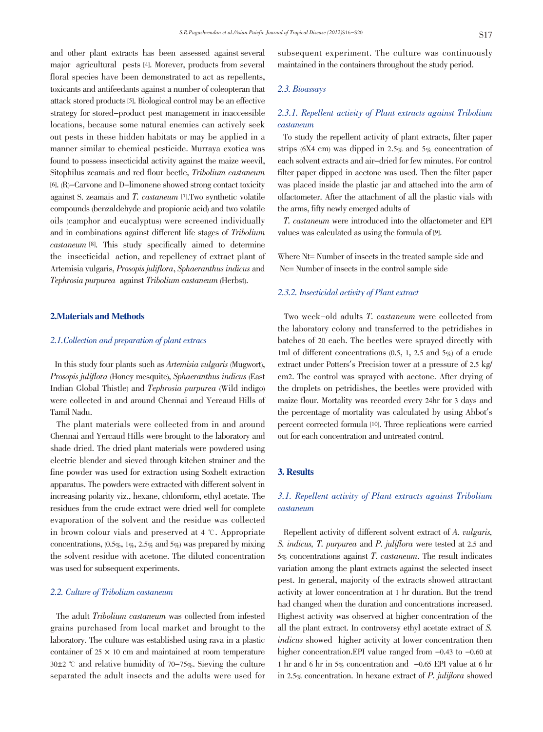and other plant extracts has been assessed against several major agricultural pests [4]. Morever, products from several floral species have been demonstrated to act as repellents, toxicants and antifeedants against a number of coleopteran that attack stored products[5]. Biological control may be an effective strategy for stored-product pest management in inaccessible locations, because some natural enemies can actively seek out pests in these hidden habitats or may be applied in a manner similar to chemical pesticide. Murraya exotica was found to possess insecticidal activity against the maize weevil, Sitophilus zeamais and red flour beetle, Tribolium castaneum [6]. (R)-Carvone and D-limonene showed strong contact toxicity against S. zeamais and T. castaneum [7].Two synthetic volatile compounds (benzaldehyde and propionic acid) and two volatile oils (camphor and eucalyptus) were screened individually and in combinations against different life stages of Tribolium castaneum [8]. This study specifically aimed to determine the insecticidal action, and repellency of extract plant of Artemisia vulgaris, Prosopis juliflora, Sphaeranthus indicus and Tephrosia purpurea against Tribolium castaneum (Herbst).

#### 2.Materials and Methods

#### 2.1.Collection and preparation of plant extracs

In this study four plants such as Artemisia vulgaris (Mugwort), Prosopis juliflora (Honey mesquite), Sphaeranthus indicus (East Indian Global Thistle) and Tephrosia purpurea (Wild indigo) were collected in and around Chennai and Yercaud Hills of Tamil Nadu.

The plant materials were collected from in and around Chennai and Yercaud Hills were brought to the laboratory and shade dried. The dried plant materials were powdered using electric blender and sieved through kitchen strainer and the fine powder was used for extraction using Soxhelt extraction apparatus. The powders were extracted with different solvent in increasing polarity viz., hexane, chloroform, ethyl acetate. The residues from the crude extract were dried well for complete evaporation of the solvent and the residue was collected in brown colour vials and preserved at  $4 \text{ }^{\circ}$ . Appropriate concentrations,  $(0.5\%, 1\%, 2.5\% \text{ and } 5\%)$  was prepared by mixing the solvent residue with acetone. The diluted concentration was used for subsequent experiments.

### 2.2. Culture of Tribolium castaneum

The adult Tribolium castaneum was collected from infested grains purchased from local market and brought to the laboratory. The culture was established using rava in a plastic container of  $25 \times 10$  cm and maintained at room temperature  $30\pm2$  °C and relative humidity of 70-75%. Sieving the culture separated the adult insects and the adults were used for subsequent experiment. The culture was continuously maintained in the containers throughout the study period.

# 2.3. Bioassays

# 2.3.1. Repellent activity of Plant extracts against Tribolium castaneum

To study the repellent activity of plant extracts, filter paper strips (6X4 cm) was dipped in 2.5% and 5% concentration of each solvent extracts and air-dried for few minutes. For control filter paper dipped in acetone was used. Then the filter paper was placed inside the plastic jar and attached into the arm of olfactometer. After the attachment of all the plastic vials with the arms, fifty newly emerged adults of

 T. castaneum were introduced into the olfactometer and EPI values was calculated as using the formula of [9].

Where Nt= Number of insects in the treated sample side and Nc= Number of insects in the control sample side

#### 2.3.2. Insecticidal activity of Plant extract

Two week-old adults T. castaneum were collected from the laboratory colony and transferred to the petridishes in batches of 20 each. The beetles were sprayed directly with 1ml of different concentrations  $(0.5, 1, 2.5, 1.5)$  and  $5\%$  of a crude extract under Potters's Precision tower at a pressure of 2.5 kg/ cm2. The control was sprayed with acetone. After drying of the droplets on petridishes, the beetles were provided with maize flour. Mortality was recorded every 24hr for 3 days and the percentage of mortality was calculated by using Abbot's percent corrected formula [10]. Three replications were carried out for each concentration and untreated control.

#### 3. Results

# 3.1. Repellent activity of Plant extracts against Tribolium castaneum

Repellent activity of different solvent extract of A. vulgaris, S. indicus, T. purpurea and P. juliflora were tested at 2.5 and 5% concentrations against T. castaneum. The result indicates variation among the plant extracts against the selected insect pest. In general, majority of the extracts showed attractant activity at lower concentration at 1 hr duration. But the trend had changed when the duration and concentrations increased. Highest activity was observed at higher concentration of the all the plant extract. In controversy ethyl acetate extract of S. indicus showed higher activity at lower concentration then higher concentration.EPI value ranged from  $-0.43$  to  $-0.60$  at 1 hr and 6 hr in  $5\%$  concentration and  $-0.65$  EPI value at 6 hr in 2.5% concentration. In hexane extract of P. julijlora showed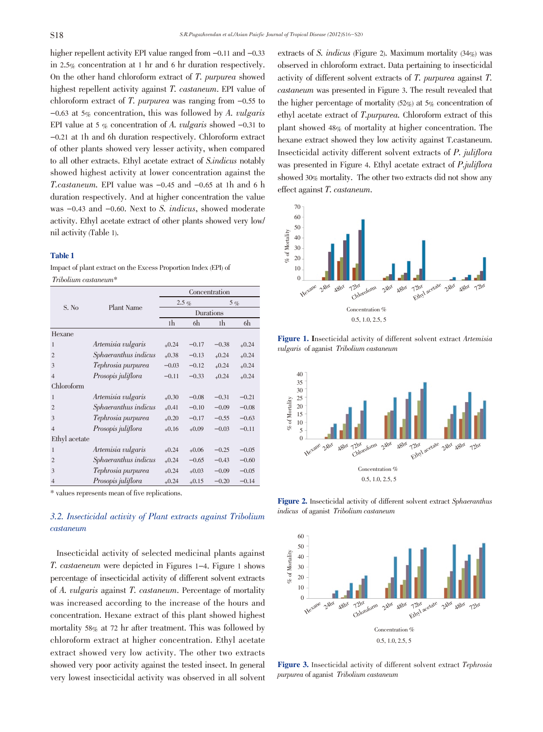higher repellent activity EPI value ranged from  $-0.11$  and  $-0.33$ in 2.5% concentration at 1 hr and 6 hr duration respectively. On the other hand chloroform extract of T. purpurea showed highest repellent activity against T. castaneum. EPI value of chloroform extract of  $T$ . purpurea was ranging from  $-0.55$  to  $-0.63$  at 5% concentration, this was followed by A. vulgaris EPI value at 5  $\%$  concentration of A. vulgaris showed -0.31 to -0.21 at 1h and 6h duration respectively. Chloroform extract of other plants showed very lesser activity, when compared to all other extracts. Ethyl acetate extract of S.indicus notably showed highest activity at lower concentration against the T.castaneum. EPI value was -0.45 and -0.65 at 1h and <sup>6</sup> h duration respectively. And at higher concentration the value was  $-0.43$  and  $-0.60$ . Next to S. *indicus*, showed moderate activity. Ethyl acetate extract of other plants showed very low/ nil activity (Table 1).

#### Table 1

Impact of plant extract on the Excess Proportion Index (EPI) of Tribolium castaneum\*

|                | Plant Name           | Concentration |         |           |         |
|----------------|----------------------|---------------|---------|-----------|---------|
| S. No          |                      | $2.5\%$       |         | $5 \, \%$ |         |
|                |                      | Durations     |         |           |         |
|                |                      | 1h            | 6h      | 1h        | 6h      |
| Hexane         |                      |               |         |           |         |
| 1              | Artemisia vulgaris   | $+0.24$       | $-0.17$ | $-0.38$   | $+0.24$ |
| $\overline{c}$ | Sphaeranthus indicus | $+0.38$       | $-0.13$ | $+0.24$   | $+0.24$ |
| 3              | Tephrosia purpurea   | $-0.03$       | $-0.12$ | $+0.24$   | $+0.24$ |
| $\overline{4}$ | Prosopis juliflora   | $-0.11$       | $-0.33$ | $+0.24$   | $+0.24$ |
| Chloroform     |                      |               |         |           |         |
| $\mathbf{1}$   | Artemisia vulgaris   | $+0.30$       | $-0.08$ | $-0.31$   | $-0.21$ |
| $\overline{2}$ | Sphaeranthus indicus | $+0.41$       | $-0.10$ | $-0.09$   | $-0.08$ |
| 3              | Tephrosia purpurea   | $+0.20$       | $-0.17$ | $-0.55$   | $-0.63$ |
| $\overline{4}$ | Prosopis juliflora   | $+0.16$       | $+0.09$ | $-0.03$   | $-0.11$ |
| Ethyl acetate  |                      |               |         |           |         |
| $\mathbf{1}$   | Artemisia vulgaris   | $+0.24$       | $+0.06$ | $-0.25$   | $-0.05$ |
| $\overline{2}$ | Sphaeranthus indicus | $+0.24$       | $-0.65$ | $-0.43$   | $-0.60$ |
| 3              | Tephrosia purpurea   | $+0.24$       | $+0.03$ | $-0.09$   | $-0.05$ |
| $\overline{4}$ | Prosopis juliflora   | $+0.24$       | $+0.15$ | $-0.20$   | $-0.14$ |

\* values represents mean of five replications.

# 3.2. Insecticidal activity of Plant extracts against Tribolium castaneum

Insecticidal activity of selected medicinal plants against T. castaeneum were depicted in Figures 1-4. Figure <sup>1</sup> shows percentage of insecticidal activity of different solvent extracts of A. vulgaris against T. castaneum. Percentage of mortality was increased according to the increase of the hours and concentration. Hexane extract of this plant showed highest mortality 58% at 72 hr after treatment. This was followed by chloroform extract at higher concentration. Ethyl acetate extract showed very low activity. The other two extracts showed very poor activity against the tested insect. In general very lowest insecticidal activity was observed in all solvent

extracts of S. *indicus* (Figure 2). Maximum mortality (34%) was observed in chloroform extract. Data pertaining to insecticidal activity of different solvent extracts of T. purpurea against T. castaneum was presented in Figure 3. The result revealed that the higher percentage of mortality  $(52\%)$  at  $5\%$  concentration of ethyl acetate extract of T.purpurea. Chloroform extract of this plant showed 48% of mortality at higher concentration. The hexane extract showed they low activity against T.castaneum. Insecticidal activity different solvent extracts of P. juliflora was presented in Figure 4. Ethyl acetate extract of *P.juliflora* showed 30% mortality. The other two extracts did not show any effect against T. castaneum.



Figure 1. Insecticidal activity of different solvent extract Artemisia vulgaris of aganist Tribolium castaneum



Figure 2. Insecticidal activity of different solvent extract Sphaeranthus indicus of aganist Tribolium castaneum



Figure 3. Insecticidal activity of different solvent extract Tephrosia purpurea of aganist Tribolium castaneum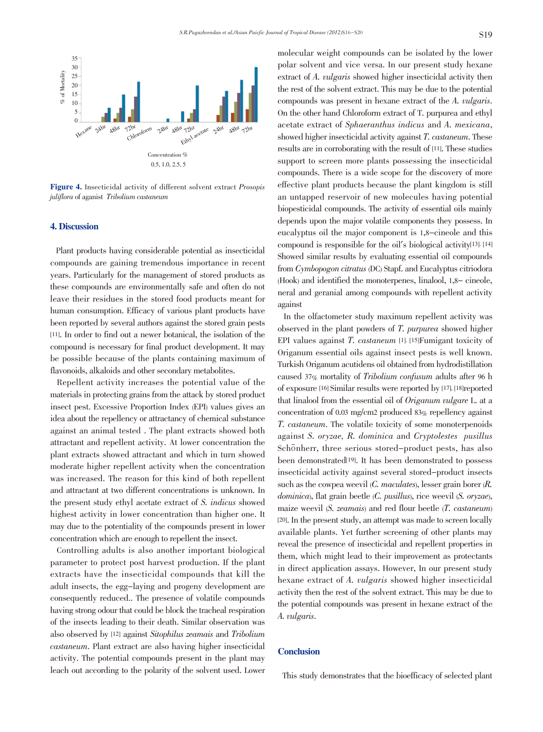

Figure 4. Insecticidal activity of different solvent extract Prosopis juliflora of aganist Tribolium castaneum

#### 4. Discussion

Plant products having considerable potential as insecticidal compounds are gaining tremendous importance in recent years. Particularly for the management of stored products as these compounds are environmentally safe and often do not leave their residues in the stored food products meant for human consumption. Efficacy of various plant products have been reported by several authors against the stored grain pests [11]. In order to find out a newer botanical, the isolation of the compound is necessary for final product development. It may be possible because of the plants containing maximum of flavonoids, alkaloids and other secondary metabolites.

Repellent activity increases the potential value of the materials in protecting grains from the attack by stored product insect pest. Excessive Proportion Index (EPI) values gives an idea about the repellency or attractancy of chemical substance against an animal tested . The plant extracts showed both attractant and repellent activity. At lower concentration the plant extracts showed attractant and which in turn showed moderate higher repellent activity when the concentration was increased. The reason for this kind of both repellent and attractant at two different concentrations is unknown. In the present study ethyl acetate extract of S. indicus showed highest activity in lower concentration than higher one. It may due to the potentiality of the compounds present in lower concentration which are enough to repellent the insect.

Controlling adults is also another important biological parameter to protect post harvest production. If the plant extracts have the insecticidal compounds that kill the adult insects, the egg-laying and progeny development are consequently reduced.. The presence of volatile compounds having strong odour that could be block the tracheal respiration of the insects leading to their death. Similar observation was also observed by [12] against Sitophilus zeamais and Tribolium castaneum. Plant extract are also having higher insecticidal activity. The potential compounds present in the plant may leach out according to the polarity of the solvent used. Lower molecular weight compounds can be isolated by the lower polar solvent and vice versa. In our present study hexane extract of A. vulgaris showed higher insecticidal activity then the rest of the solvent extract. This may be due to the potential compounds was present in hexane extract of the A. vulgaris. On the other hand Chloroform extract of T. purpurea and ethyl acetate extract of Sphaeranthus indicus and A. mexicana, showed higher insecticidal activity against T. castaneum. These results are in corroborating with the result of [11]. These studies support to screen more plants possessing the insecticidal compounds. There is a wide scope for the discovery of more effective plant products because the plant kingdom is still an untapped reservoir of new molecules having potential biopesticidal compounds. The activity of essential oils mainly depends upon the major volatile components they possess. In eucalyptus oil the major component is 1,8-cineole and this compound is responsible for the oil's biological activity[13]. [14] Showed similar results by evaluating essential oil compounds from Cymbopogon citratus (DC) Stapf. and Eucalyptus citriodora (Hook) and identified the monoterpenes, linalool, 1,8- cineole, neral and geranial among compounds with repellent activity against

In the olfactometer study maximum repellent activity was observed in the plant powders of T. purpurea showed higher EPI values against T. castaneum [1]. [15]Fumigant toxicity of Origanum essential oils against insect pests is well known. Turkish Origanum acutidens oil obtained from hydrodistillation caused 37% mortality of Tribolium confusum adults after <sup>96</sup> h of exposure [16] Similar results were reported by [17], [18]reported that linalool from the essential oil of Origanum vulgare L. at a concentration of 0.03 mg/cm2 produced 83% repellency against T. castaneum. The volatile toxicity of some monoterpenoids against S. oryzae, R. dominica and Cryptolestes pusillus Schönherr, three serious stored-product pests, has also been demonstrated[19]. It has been demonstrated to possess insecticidal activity against several stored-product insects such as the cowpea weevil (C. maculates), lesser grain borer (R. dominica), flat grain beetle (C. pusillus), rice weevil (S. oryzae), maize weevil (S. zeamais) and red flour beetle (T. castaneum) [20]. In the present study, an attempt was made to screen locally available plants. Yet further screening of other plants may reveal the presence of insecticidal and repellent properties in them, which might lead to their improvement as protectants in direct application assays. However, In our present study hexane extract of A. *vulgaris* showed higher insecticidal activity then the rest of the solvent extract. This may be due to the potential compounds was present in hexane extract of the A. vulgaris.

# **Conclusion**

This study demonstrates that the bioefficacy of selected plant